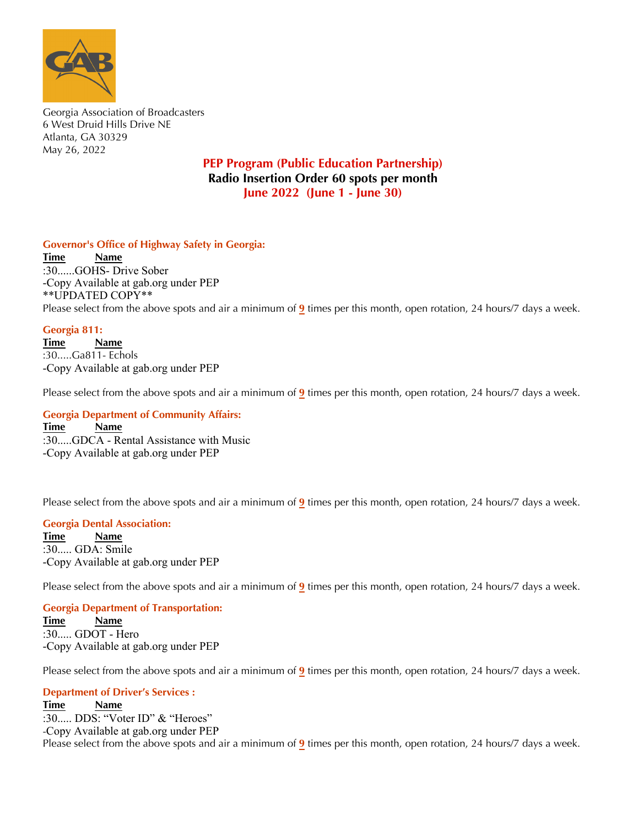

Georgia Association of Broadcasters 6 West Druid Hills Drive NE Atlanta, GA 30329 May 26, 2022

# **PEP Program (Public Education Partnership) Radio Insertion Order 60 spots per month June 2022 (June 1 - June 30)**

### **Governor's Office of Highway Safety in Georgia:**

**Time Name** :30......GOHS- Drive Sober -Copy Available at gab.org under PEP \*\*UPDATED COPY\*\* Please select from the above spots and air a minimum of **9** times per this month, open rotation, 24 hours/7 days a week.

### **Georgia 811:**

**Time Name** :30.....Ga811- Echols -Copy Available at gab.org under PEP

Please select from the above spots and air a minimum of **9** times per this month, open rotation, 24 hours/7 days a week.

:30.....GDCA - Rental Assistance with Music **Georgia Department of Community Affairs: Time Name** -Copy Available at gab.org under PEP

 $\mathbf{F}$  additional information or questions please contact: Please select from the above spots and air a minimum of  $9$  times per this month, open rotation, 24 hours/7 days a week.

### **Georgia Dental Association:**

 $\frac{m}{2}$  **b** and  $\frac{m}{2}$  and  $\frac{m}{2}$  **by mail to the above address**  $\frac{m}{2}$  $R_{\text{max}}$  spots are available for download at  $\sigma$ -Copy Available at gab.org under PEP **Time Name** :30..... GDA: Smile

 $\Gamma$   $\Gamma$  and  $\Gamma$  in  $\Gamma$  is additional information or  $\Gamma$  in  $\Gamma$  and  $\Gamma$  is a contact:  $\Gamma$ Please select from the above spots and air a minimum of  $\frac{9}{2}$  times per this month, open rotation, 24 hours/7 days a week.

#### **Thank you so much for your support to the GAB! Georgia Department of Transportation:**

 $\mathbf{F}^{\text{line}}$  **Name**  $R_{\text{max}}$  SU..... CIDUI - FIEIO -Copy Available at gab.org under PEP **Time Name** :30..... GDOT - Hero

 $\Gamma$   $\Gamma$  and  $\Gamma$  in  $\Gamma$  is additional information or  $\Gamma$  in  $\Gamma$  and  $\Gamma$  is a contact:  $\Gamma$ Please select from the above spots and air a minimum of  $9$  times per this month, open rotation, 24 hours/7 days a week.</u>

## **Department of Driver's Services :**

**Time** Name email after the month to administration of the month to the above address to the above address to the above address to the above address to the above address to the above address to the above address to the abo **Thank you so much for your support to the GAB!** Please select from the above spots and air a minimum of  $\frac{9}{2}$  times per this month, open rotation, 24 hours/7 days a week. **Time Name** :30..... DDS: "Voter ID" & "Heroes" -Copy Available at gab.org under PEP